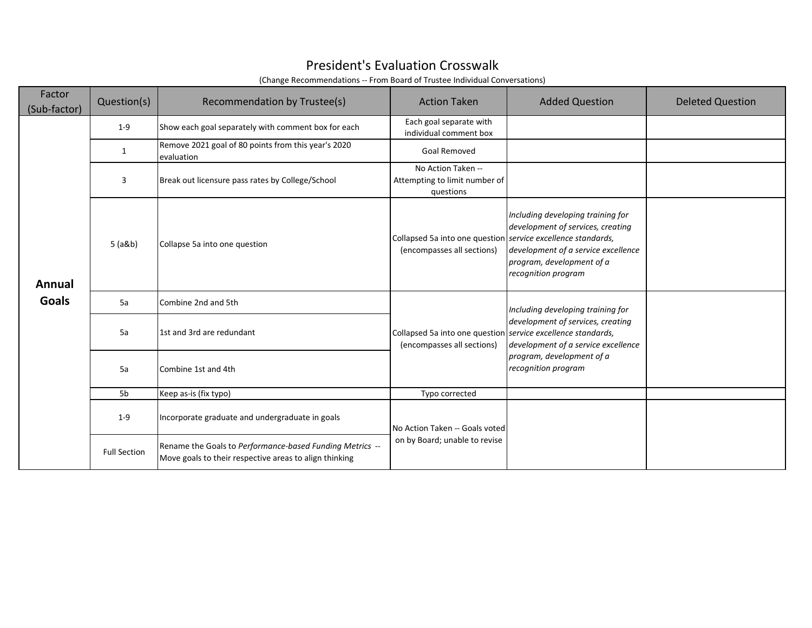## President's Evaluation Crosswalk

(Change Recommendations -- From Board of Trustee Individual Conversations)

| Factor<br>(Sub-factor) | Question(s)         | Recommendation by Trustee(s)                                                                                       | <b>Action Taken</b>                                                                        | <b>Added Question</b>                                                                                                                                             | <b>Deleted Question</b> |
|------------------------|---------------------|--------------------------------------------------------------------------------------------------------------------|--------------------------------------------------------------------------------------------|-------------------------------------------------------------------------------------------------------------------------------------------------------------------|-------------------------|
|                        | $1-9$               | Show each goal separately with comment box for each                                                                | Each goal separate with<br>individual comment box                                          |                                                                                                                                                                   |                         |
|                        | 1                   | Remove 2021 goal of 80 points from this year's 2020<br>evaluation                                                  | Goal Removed                                                                               |                                                                                                                                                                   |                         |
|                        | 3                   | Break out licensure pass rates by College/School                                                                   | No Action Taken --<br>Attempting to limit number of<br>questions                           |                                                                                                                                                                   |                         |
| Annual                 | 5 (a&b)             | Collapse 5a into one question                                                                                      | Collapsed 5a into one question service excellence standards,<br>(encompasses all sections) | Including developing training for<br>development of services, creating<br>development of a service excellence<br>program, development of a<br>recognition program |                         |
| <b>Goals</b>           | 5a                  | Combine 2nd and 5th                                                                                                |                                                                                            | Including developing training for                                                                                                                                 |                         |
|                        | 5a                  | 1st and 3rd are redundant                                                                                          | Collapsed 5a into one question service excellence standards,<br>(encompasses all sections) | development of services, creating<br>development of a service excellence                                                                                          |                         |
|                        | 5a                  | Combine 1st and 4th                                                                                                |                                                                                            | program, development of a<br>recognition program                                                                                                                  |                         |
|                        | 5b                  | Keep as-is (fix typo)                                                                                              | Typo corrected                                                                             |                                                                                                                                                                   |                         |
|                        | $1 - 9$             | Incorporate graduate and undergraduate in goals                                                                    | No Action Taken -- Goals voted                                                             |                                                                                                                                                                   |                         |
|                        | <b>Full Section</b> | Rename the Goals to Performance-based Funding Metrics --<br>Move goals to their respective areas to align thinking | on by Board; unable to revise                                                              |                                                                                                                                                                   |                         |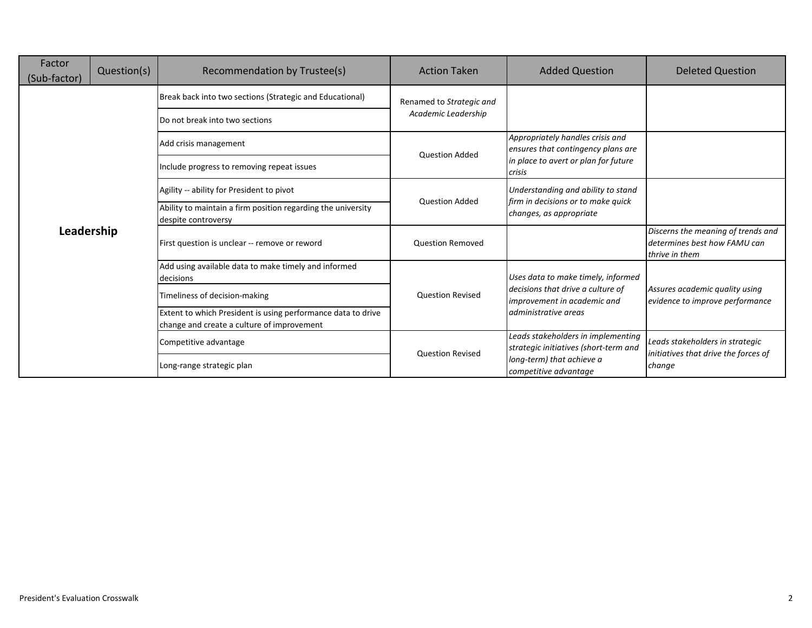| Factor<br>(Sub-factor) | Question(s) | Recommendation by Trustee(s)                                                                               | <b>Action Taken</b>      | <b>Added Question</b>                                                       | <b>Deleted Question</b>                                                              |
|------------------------|-------------|------------------------------------------------------------------------------------------------------------|--------------------------|-----------------------------------------------------------------------------|--------------------------------------------------------------------------------------|
|                        |             | Break back into two sections (Strategic and Educational)                                                   | Renamed to Strategic and |                                                                             |                                                                                      |
|                        |             | Do not break into two sections                                                                             | Academic Leadership      |                                                                             |                                                                                      |
|                        |             | Add crisis management                                                                                      | <b>Question Added</b>    | Appropriately handles crisis and<br>ensures that contingency plans are      |                                                                                      |
|                        |             | Include progress to removing repeat issues                                                                 |                          | in place to avert or plan for future<br>crisis                              |                                                                                      |
|                        |             | Agility -- ability for President to pivot                                                                  |                          | Understanding and ability to stand<br>firm in decisions or to make quick    |                                                                                      |
|                        |             | Ability to maintain a firm position regarding the university<br>despite controversy                        | <b>Question Added</b>    | changes, as appropriate                                                     |                                                                                      |
| Leadership             |             | First question is unclear -- remove or reword                                                              | <b>Question Removed</b>  |                                                                             | Discerns the meaning of trends and<br>determines best how FAMU can<br>thrive in them |
|                        |             | Add using available data to make timely and informed<br>decisions                                          |                          | Uses data to make timely, informed                                          |                                                                                      |
|                        |             | Timeliness of decision-making                                                                              | <b>Question Revised</b>  | decisions that drive a culture of<br>improvement in academic and            | Assures academic quality using<br>evidence to improve performance                    |
|                        |             | Extent to which President is using performance data to drive<br>change and create a culture of improvement |                          | administrative areas                                                        |                                                                                      |
|                        |             | Competitive advantage                                                                                      | <b>Question Revised</b>  | Leads stakeholders in implementing<br>strategic initiatives (short-term and | Leads stakeholders in strategic                                                      |
|                        |             | Long-range strategic plan                                                                                  |                          | long-term) that achieve a<br>competitive advantage                          | initiatives that drive the forces of<br>change                                       |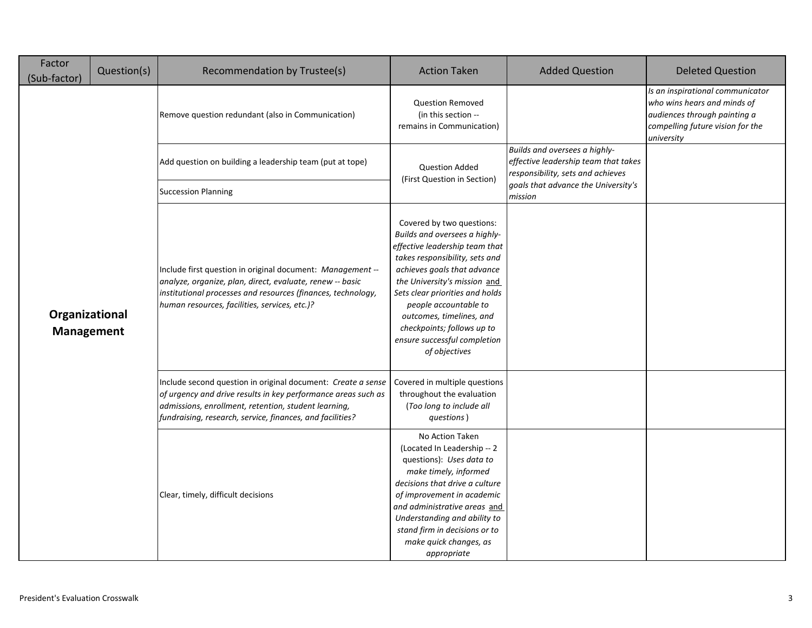| Factor<br>(Sub-factor)              | Question(s) | Recommendation by Trustee(s)                                                                                                                                                                                                                       | <b>Action Taken</b>                                                                                                                                                                                                                                                                                                                                                  | <b>Added Question</b>                                                                                      | <b>Deleted Question</b>                                                                                                                           |
|-------------------------------------|-------------|----------------------------------------------------------------------------------------------------------------------------------------------------------------------------------------------------------------------------------------------------|----------------------------------------------------------------------------------------------------------------------------------------------------------------------------------------------------------------------------------------------------------------------------------------------------------------------------------------------------------------------|------------------------------------------------------------------------------------------------------------|---------------------------------------------------------------------------------------------------------------------------------------------------|
|                                     |             | Remove question redundant (also in Communication)                                                                                                                                                                                                  | <b>Question Removed</b><br>(in this section --<br>remains in Communication)                                                                                                                                                                                                                                                                                          |                                                                                                            | Is an inspirational communicator<br>who wins hears and minds of<br>audiences through painting a<br>compelling future vision for the<br>university |
|                                     |             | Add question on building a leadership team (put at tope)                                                                                                                                                                                           | <b>Question Added</b>                                                                                                                                                                                                                                                                                                                                                | Builds and oversees a highly-<br>effective leadership team that takes<br>responsibility, sets and achieves |                                                                                                                                                   |
|                                     |             | <b>Succession Planning</b>                                                                                                                                                                                                                         | (First Question in Section)                                                                                                                                                                                                                                                                                                                                          | goals that advance the University's<br>mission                                                             |                                                                                                                                                   |
| Organizational<br><b>Management</b> |             | Include first question in original document: Management --<br>analyze, organize, plan, direct, evaluate, renew -- basic<br>institutional processes and resources (finances, technology,<br>human resources, facilities, services, etc.)?           | Covered by two questions:<br>Builds and oversees a highly-<br>effective leadership team that<br>takes responsibility, sets and<br>achieves goals that advance<br>the University's mission and<br>Sets clear priorities and holds<br>people accountable to<br>outcomes, timelines, and<br>checkpoints; follows up to<br>ensure successful completion<br>of objectives |                                                                                                            |                                                                                                                                                   |
|                                     |             | Include second question in original document: Create a sense<br>of urgency and drive results in key performance areas such as<br>admissions, enrollment, retention, student learning,<br>fundraising, research, service, finances, and facilities? | Covered in multiple questions<br>throughout the evaluation<br>(Too long to include all<br>questions)                                                                                                                                                                                                                                                                 |                                                                                                            |                                                                                                                                                   |
|                                     |             | Clear, timely, difficult decisions                                                                                                                                                                                                                 | No Action Taken<br>(Located In Leadership -- 2<br>questions): Uses data to<br>make timely, informed<br>decisions that drive a culture<br>of improvement in academic<br>and administrative areas and<br>Understanding and ability to<br>stand firm in decisions or to<br>make quick changes, as<br>appropriate                                                        |                                                                                                            |                                                                                                                                                   |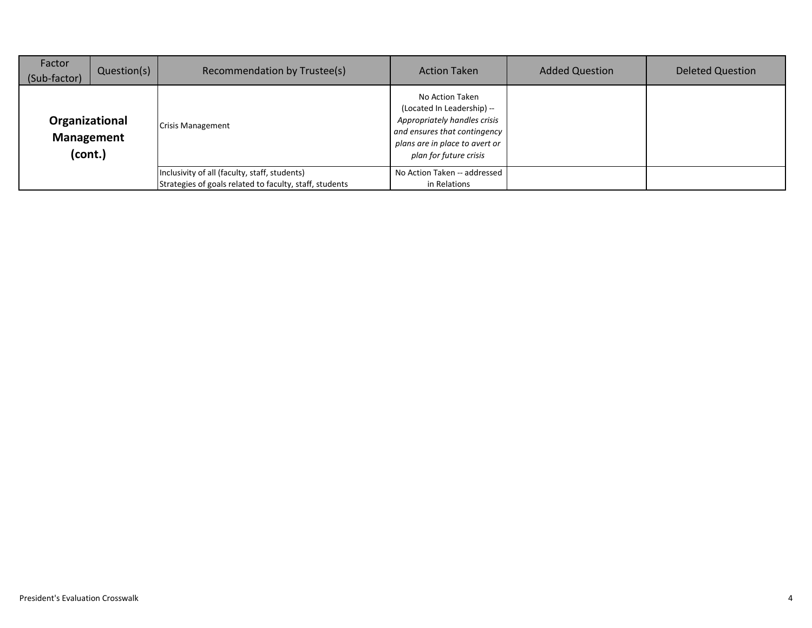| Factor<br>(Sub-factor)                         | Question(s) | Recommendation by Trustee(s)                            | <b>Action Taken</b>                                                                                                                                                       | <b>Added Question</b> | <b>Deleted Question</b> |
|------------------------------------------------|-------------|---------------------------------------------------------|---------------------------------------------------------------------------------------------------------------------------------------------------------------------------|-----------------------|-------------------------|
| Organizational<br><b>Management</b><br>(cont.) |             | <b>Crisis Management</b>                                | No Action Taken<br>(Located In Leadership) --<br>Appropriately handles crisis<br>and ensures that contingency<br>plans are in place to avert or<br>plan for future crisis |                       |                         |
|                                                |             | Inclusivity of all (faculty, staff, students)           | No Action Taken -- addressed                                                                                                                                              |                       |                         |
|                                                |             | Strategies of goals related to faculty, staff, students | in Relations                                                                                                                                                              |                       |                         |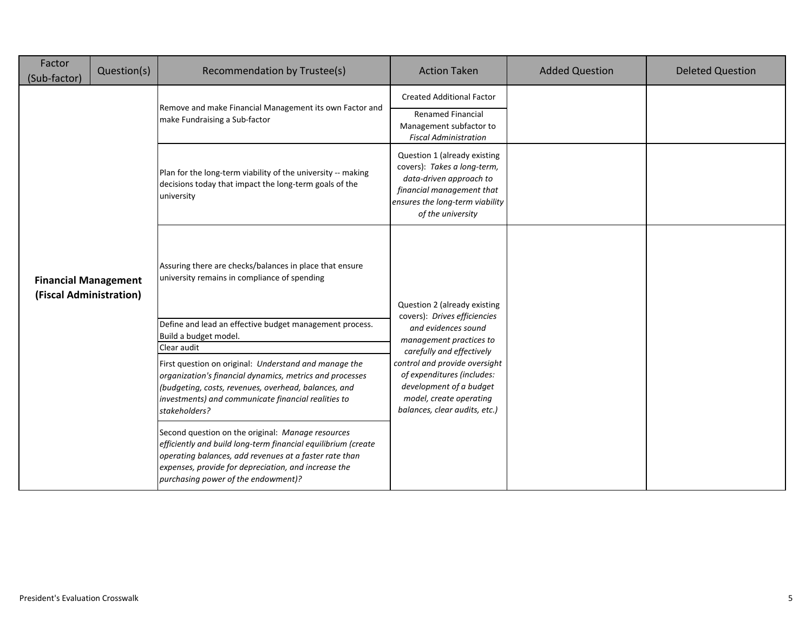| Factor<br>(Sub-factor)                                 | Question(s) | Recommendation by Trustee(s)                                                                                                                                                                                                                                                | <b>Action Taken</b>                                                                                                                                                                                                                                               | <b>Added Question</b> | <b>Deleted Question</b> |
|--------------------------------------------------------|-------------|-----------------------------------------------------------------------------------------------------------------------------------------------------------------------------------------------------------------------------------------------------------------------------|-------------------------------------------------------------------------------------------------------------------------------------------------------------------------------------------------------------------------------------------------------------------|-----------------------|-------------------------|
|                                                        |             | Remove and make Financial Management its own Factor and                                                                                                                                                                                                                     | <b>Created Additional Factor</b>                                                                                                                                                                                                                                  |                       |                         |
|                                                        |             | make Fundraising a Sub-factor                                                                                                                                                                                                                                               | <b>Renamed Financial</b><br>Management subfactor to<br><b>Fiscal Administration</b>                                                                                                                                                                               |                       |                         |
| <b>Financial Management</b><br>(Fiscal Administration) |             | Plan for the long-term viability of the university -- making<br>decisions today that impact the long-term goals of the<br>university                                                                                                                                        | Question 1 (already existing<br>covers): Takes a long-term,<br>data-driven approach to<br>financial management that<br>ensures the long-term viability<br>of the university                                                                                       |                       |                         |
|                                                        |             | Assuring there are checks/balances in place that ensure<br>university remains in compliance of spending                                                                                                                                                                     | Question 2 (already existing                                                                                                                                                                                                                                      |                       |                         |
|                                                        |             | Define and lead an effective budget management process.<br>Build a budget model.                                                                                                                                                                                            | covers): Drives efficiencies<br>and evidences sound<br>management practices to<br>carefully and effectively<br>control and provide oversight<br>of expenditures (includes:<br>development of a budget<br>model, create operating<br>balances, clear audits, etc.) |                       |                         |
|                                                        |             | Clear audit<br>First question on original: Understand and manage the<br>organization's financial dynamics, metrics and processes<br>(budgeting, costs, revenues, overhead, balances, and<br>investments) and communicate financial realities to<br>stakeholders?            |                                                                                                                                                                                                                                                                   |                       |                         |
|                                                        |             | Second question on the original: Manage resources<br>efficiently and build long-term financial equilibrium (create<br>operating balances, add revenues at a faster rate than<br>expenses, provide for depreciation, and increase the<br>purchasing power of the endowment)? |                                                                                                                                                                                                                                                                   |                       |                         |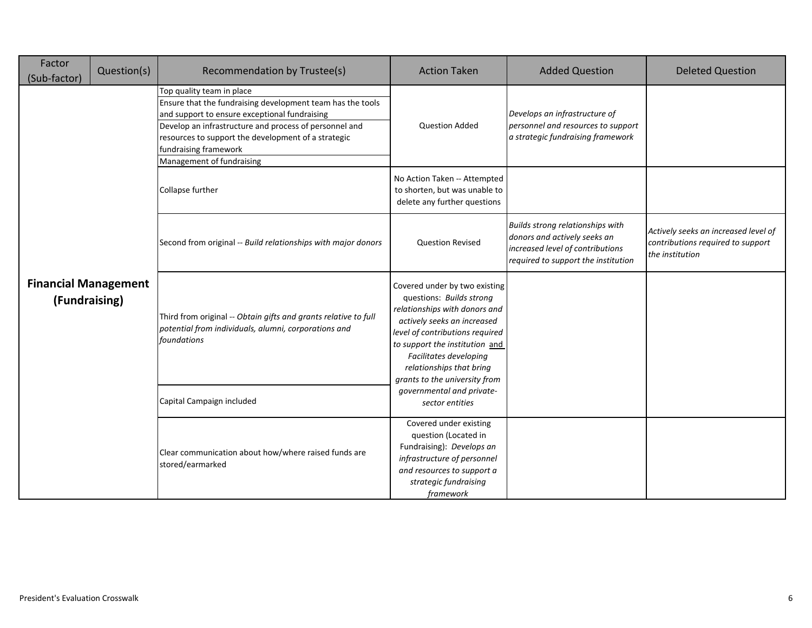| Factor<br>(Sub-factor)                       | Question(s) | Recommendation by Trustee(s)                                                                                                                                                                                                                                                                                    | <b>Action Taken</b>                                                                                                                                                                                                                                                                   | <b>Added Question</b>                                                                                                                       | <b>Deleted Question</b>                                                                      |
|----------------------------------------------|-------------|-----------------------------------------------------------------------------------------------------------------------------------------------------------------------------------------------------------------------------------------------------------------------------------------------------------------|---------------------------------------------------------------------------------------------------------------------------------------------------------------------------------------------------------------------------------------------------------------------------------------|---------------------------------------------------------------------------------------------------------------------------------------------|----------------------------------------------------------------------------------------------|
|                                              |             | Top quality team in place<br>Ensure that the fundraising development team has the tools<br>and support to ensure exceptional fundraising<br>Develop an infrastructure and process of personnel and<br>resources to support the development of a strategic<br>fundraising framework<br>Management of fundraising | <b>Question Added</b>                                                                                                                                                                                                                                                                 | Develops an infrastructure of<br>personnel and resources to support<br>a strategic fundraising framework                                    |                                                                                              |
|                                              |             | Collapse further                                                                                                                                                                                                                                                                                                | No Action Taken -- Attempted<br>to shorten, but was unable to<br>delete any further questions                                                                                                                                                                                         |                                                                                                                                             |                                                                                              |
|                                              |             | Second from original -- Build relationships with major donors                                                                                                                                                                                                                                                   | <b>Question Revised</b>                                                                                                                                                                                                                                                               | Builds strong relationships with<br>donors and actively seeks an<br>increased level of contributions<br>required to support the institution | Actively seeks an increased level of<br>contributions required to support<br>the institution |
| <b>Financial Management</b><br>(Fundraising) |             | Third from original -- Obtain gifts and grants relative to full<br>potential from individuals, alumni, corporations and<br>foundations                                                                                                                                                                          | Covered under by two existing<br>questions: Builds strong<br>relationships with donors and<br>actively seeks an increased<br>level of contributions required<br>to support the institution and<br>Facilitates developing<br>relationships that bring<br>grants to the university from |                                                                                                                                             |                                                                                              |
|                                              |             | Capital Campaign included                                                                                                                                                                                                                                                                                       | governmental and private-<br>sector entities                                                                                                                                                                                                                                          |                                                                                                                                             |                                                                                              |
|                                              |             | Clear communication about how/where raised funds are<br>stored/earmarked                                                                                                                                                                                                                                        | Covered under existing<br>question (Located in<br>Fundraising): Develops an<br>infrastructure of personnel<br>and resources to support a<br>strategic fundraising<br>framework                                                                                                        |                                                                                                                                             |                                                                                              |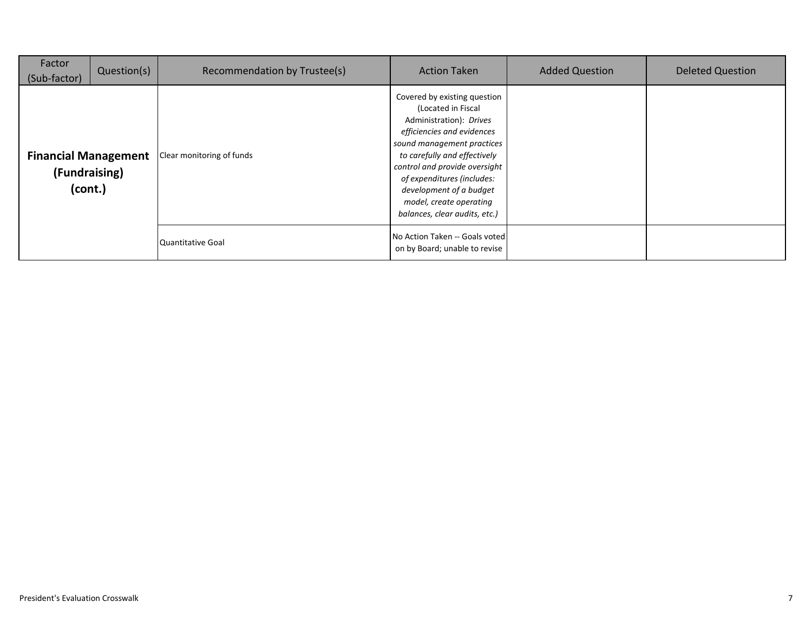| Factor<br>(Sub-factor)                                  | Question(s) | Recommendation by Trustee(s) | <b>Action Taken</b>                                                                                                                                                                                                                                                                                                             | <b>Added Question</b> | <b>Deleted Question</b> |
|---------------------------------------------------------|-------------|------------------------------|---------------------------------------------------------------------------------------------------------------------------------------------------------------------------------------------------------------------------------------------------------------------------------------------------------------------------------|-----------------------|-------------------------|
| <b>Financial Management</b><br>(Fundraising)<br>(cont.) |             | Clear monitoring of funds    | Covered by existing question<br>(Located in Fiscal<br>Administration): Drives<br>efficiencies and evidences<br>sound management practices<br>to carefully and effectively<br>control and provide oversight<br>of expenditures (includes:<br>development of a budget<br>model, create operating<br>balances, clear audits, etc.) |                       |                         |
|                                                         |             | Quantitative Goal            | No Action Taken -- Goals voted<br>on by Board; unable to revise                                                                                                                                                                                                                                                                 |                       |                         |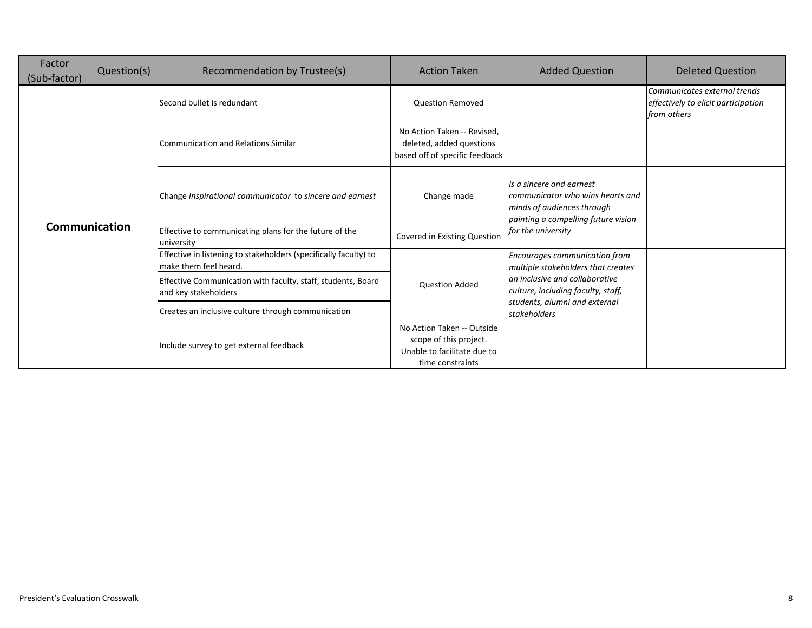| Factor<br>(Sub-factor) | Question(s) | Recommendation by Trustee(s)                                                              | <b>Action Taken</b>                                                                                     | <b>Added Question</b>                                                                                                             | <b>Deleted Question</b>                                                            |
|------------------------|-------------|-------------------------------------------------------------------------------------------|---------------------------------------------------------------------------------------------------------|-----------------------------------------------------------------------------------------------------------------------------------|------------------------------------------------------------------------------------|
|                        |             | Second bullet is redundant                                                                | <b>Question Removed</b>                                                                                 |                                                                                                                                   | Communicates external trends<br>effectively to elicit participation<br>from others |
|                        |             | Communication and Relations Similar                                                       | No Action Taken -- Revised.<br>deleted, added questions<br>based off of specific feedback               |                                                                                                                                   |                                                                                    |
|                        |             | Change Inspirational communicator to sincere and earnest                                  | Change made                                                                                             | Is a sincere and earnest<br>communicator who wins hearts and<br>minds of audiences through<br>painting a compelling future vision |                                                                                    |
| <b>Communication</b>   |             | Effective to communicating plans for the future of the<br>university                      | Covered in Existing Question                                                                            | for the university                                                                                                                |                                                                                    |
|                        |             | Effective in listening to stakeholders (specifically faculty) to<br>make them feel heard. |                                                                                                         | Encourages communication from<br>multiple stakeholders that creates                                                               |                                                                                    |
|                        |             | Effective Communication with faculty, staff, students, Board<br>and key stakeholders      | <b>Question Added</b>                                                                                   | an inclusive and collaborative<br>culture, including faculty, staff,                                                              |                                                                                    |
|                        |             | Creates an inclusive culture through communication                                        |                                                                                                         | students, alumni and external<br>stakeholders                                                                                     |                                                                                    |
|                        |             | Include survey to get external feedback                                                   | No Action Taken -- Outside<br>scope of this project.<br>Unable to facilitate due to<br>time constraints |                                                                                                                                   |                                                                                    |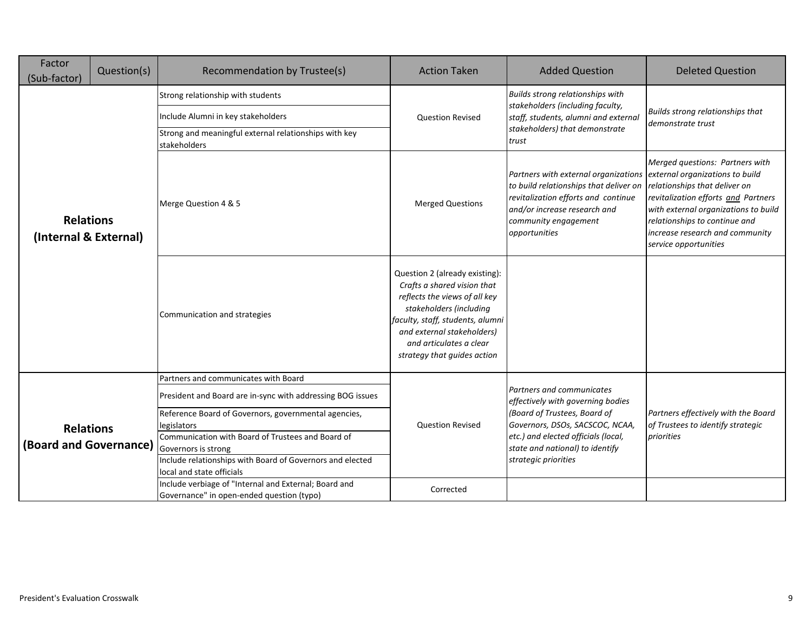| Factor<br>(Sub-factor)                     | Question(s) | Recommendation by Trustee(s)                                                                                                                                                                                                              | <b>Action Taken</b>                                                                                                                                                                                                                                   | <b>Added Question</b>                                                                                                                                                                                                          | <b>Deleted Question</b>                                                                                                                                                                                                                      |
|--------------------------------------------|-------------|-------------------------------------------------------------------------------------------------------------------------------------------------------------------------------------------------------------------------------------------|-------------------------------------------------------------------------------------------------------------------------------------------------------------------------------------------------------------------------------------------------------|--------------------------------------------------------------------------------------------------------------------------------------------------------------------------------------------------------------------------------|----------------------------------------------------------------------------------------------------------------------------------------------------------------------------------------------------------------------------------------------|
|                                            |             | Strong relationship with students                                                                                                                                                                                                         |                                                                                                                                                                                                                                                       | Builds strong relationships with                                                                                                                                                                                               | Builds strong relationships that<br>demonstrate trust                                                                                                                                                                                        |
|                                            |             | Include Alumni in key stakeholders                                                                                                                                                                                                        | <b>Question Revised</b>                                                                                                                                                                                                                               | stakeholders (including faculty,<br>staff, students, alumni and external                                                                                                                                                       |                                                                                                                                                                                                                                              |
|                                            |             | Strong and meaningful external relationships with key<br>stakeholders                                                                                                                                                                     |                                                                                                                                                                                                                                                       | stakeholders) that demonstrate<br>trust                                                                                                                                                                                        |                                                                                                                                                                                                                                              |
| <b>Relations</b><br>(Internal & External)  |             | Merge Question 4 & 5                                                                                                                                                                                                                      | <b>Merged Questions</b>                                                                                                                                                                                                                               | Partners with external organizations external organizations to build<br>to build relationships that deliver on<br>revitalization efforts and continue<br>and/or increase research and<br>community engagement<br>opportunities | Merged questions: Partners with<br>relationships that deliver on<br>revitalization efforts and Partners<br>with external organizations to build<br>relationships to continue and<br>increase research and community<br>service opportunities |
|                                            |             | Communication and strategies                                                                                                                                                                                                              | Question 2 (already existing):<br>Crafts a shared vision that<br>reflects the views of all key<br>stakeholders (including<br>faculty, staff, students, alumni<br>and external stakeholders)<br>and articulates a clear<br>strategy that guides action |                                                                                                                                                                                                                                |                                                                                                                                                                                                                                              |
|                                            |             | Partners and communicates with Board                                                                                                                                                                                                      |                                                                                                                                                                                                                                                       |                                                                                                                                                                                                                                |                                                                                                                                                                                                                                              |
|                                            |             | President and Board are in-sync with addressing BOG issues                                                                                                                                                                                |                                                                                                                                                                                                                                                       | Partners and communicates<br>effectively with governing bodies                                                                                                                                                                 |                                                                                                                                                                                                                                              |
| <b>Relations</b><br>(Board and Governance) |             | Reference Board of Governors, governmental agencies,<br>legislators<br>Communication with Board of Trustees and Board of<br>Governors is strong<br>Include relationships with Board of Governors and elected<br>local and state officials | <b>Question Revised</b>                                                                                                                                                                                                                               | (Board of Trustees, Board of<br>Governors, DSOs, SACSCOC, NCAA,<br>etc.) and elected officials (local,<br>state and national) to identify<br>strategic priorities                                                              | Partners effectively with the Board<br>of Trustees to identify strategic<br>priorities                                                                                                                                                       |
|                                            |             | Include verbiage of "Internal and External; Board and<br>Governance" in open-ended question (typo)                                                                                                                                        | Corrected                                                                                                                                                                                                                                             |                                                                                                                                                                                                                                |                                                                                                                                                                                                                                              |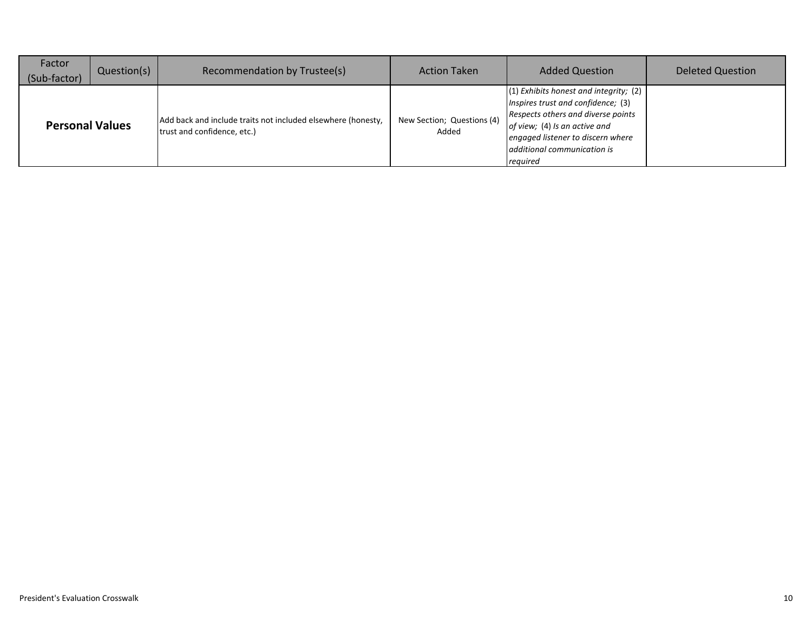| Factor<br>(Sub-factor) | Question(s) | Recommendation by Trustee(s)                                                                | <b>Action Taken</b>                 | <b>Added Question</b>                                                                                                                                                                                                                   | <b>Deleted Question</b> |
|------------------------|-------------|---------------------------------------------------------------------------------------------|-------------------------------------|-----------------------------------------------------------------------------------------------------------------------------------------------------------------------------------------------------------------------------------------|-------------------------|
| <b>Personal Values</b> |             | Add back and include traits not included elsewhere (honesty,<br>trust and confidence, etc.) | New Section; Questions (4)<br>Added | $(1)$ Exhibits honest and integrity; $(2)$<br>Inspires trust and confidence; (3)<br>Respects others and diverse points<br>of view; (4) Is an active and<br>engaged listener to discern where<br>additional communication is<br>required |                         |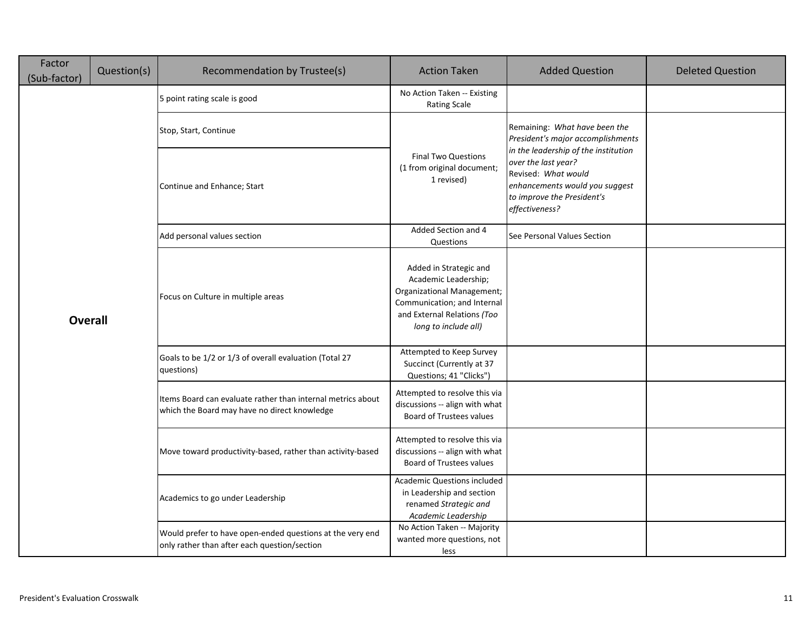| Factor<br>(Sub-factor) | Question(s) | Recommendation by Trustee(s)                                                                                | <b>Action Taken</b>                                                                                                                                                | <b>Added Question</b>                                                                                                        | <b>Deleted Question</b> |
|------------------------|-------------|-------------------------------------------------------------------------------------------------------------|--------------------------------------------------------------------------------------------------------------------------------------------------------------------|------------------------------------------------------------------------------------------------------------------------------|-------------------------|
|                        |             | 5 point rating scale is good                                                                                | No Action Taken -- Existing<br><b>Rating Scale</b>                                                                                                                 |                                                                                                                              |                         |
|                        |             | Stop, Start, Continue                                                                                       |                                                                                                                                                                    | Remaining: What have been the<br>President's major accomplishments<br>in the leadership of the institution                   |                         |
|                        |             | Continue and Enhance; Start                                                                                 | <b>Final Two Questions</b><br>(1 from original document;<br>1 revised)                                                                                             | over the last year?<br>Revised: What would<br>enhancements would you suggest<br>to improve the President's<br>effectiveness? |                         |
|                        |             | Add personal values section                                                                                 | Added Section and 4<br>Questions                                                                                                                                   | See Personal Values Section                                                                                                  |                         |
| <b>Overall</b>         |             | Focus on Culture in multiple areas                                                                          | Added in Strategic and<br>Academic Leadership;<br>Organizational Management;<br>Communication; and Internal<br>and External Relations (Too<br>long to include all) |                                                                                                                              |                         |
|                        |             | Goals to be 1/2 or 1/3 of overall evaluation (Total 27<br>questions)                                        | Attempted to Keep Survey<br>Succinct (Currently at 37<br>Questions; 41 "Clicks")                                                                                   |                                                                                                                              |                         |
|                        |             | Items Board can evaluate rather than internal metrics about<br>which the Board may have no direct knowledge | Attempted to resolve this via<br>discussions -- align with what<br><b>Board of Trustees values</b>                                                                 |                                                                                                                              |                         |
|                        |             | Move toward productivity-based, rather than activity-based                                                  | Attempted to resolve this via<br>discussions -- align with what<br><b>Board of Trustees values</b>                                                                 |                                                                                                                              |                         |
|                        |             | Academics to go under Leadership                                                                            | <b>Academic Questions included</b><br>in Leadership and section<br>renamed Strategic and<br>Academic Leadership                                                    |                                                                                                                              |                         |
|                        |             | Would prefer to have open-ended questions at the very end<br>only rather than after each question/section   | No Action Taken -- Majority<br>wanted more questions, not<br>less                                                                                                  |                                                                                                                              |                         |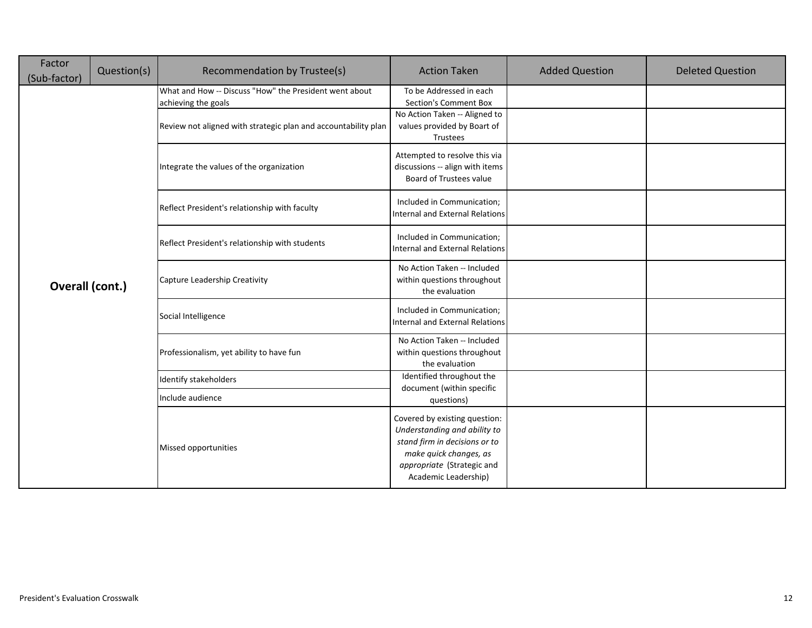| Factor<br>(Sub-factor) | Question(s) | Recommendation by Trustee(s)                                                  | <b>Action Taken</b>                                                                                                                                                            | <b>Added Question</b> | <b>Deleted Question</b> |
|------------------------|-------------|-------------------------------------------------------------------------------|--------------------------------------------------------------------------------------------------------------------------------------------------------------------------------|-----------------------|-------------------------|
|                        |             | What and How -- Discuss "How" the President went about<br>achieving the goals | To be Addressed in each<br>Section's Comment Box<br>No Action Taken -- Aligned to                                                                                              |                       |                         |
|                        |             | Review not aligned with strategic plan and accountability plan                | values provided by Boart of<br>Trustees                                                                                                                                        |                       |                         |
|                        |             | Integrate the values of the organization                                      | Attempted to resolve this via<br>discussions -- align with items<br>Board of Trustees value                                                                                    |                       |                         |
|                        |             | Reflect President's relationship with faculty                                 | Included in Communication;<br><b>Internal and External Relations</b>                                                                                                           |                       |                         |
|                        |             | Reflect President's relationship with students                                | Included in Communication;<br><b>Internal and External Relations</b>                                                                                                           |                       |                         |
| Overall (cont.)        |             | Capture Leadership Creativity                                                 | No Action Taken -- Included<br>within questions throughout<br>the evaluation                                                                                                   |                       |                         |
|                        |             | Social Intelligence                                                           | Included in Communication;<br><b>Internal and External Relations</b>                                                                                                           |                       |                         |
|                        |             | Professionalism, yet ability to have fun                                      | No Action Taken -- Included<br>within questions throughout<br>the evaluation                                                                                                   |                       |                         |
|                        |             | Identify stakeholders                                                         | Identified throughout the<br>document (within specific                                                                                                                         |                       |                         |
|                        |             | Include audience                                                              | questions)                                                                                                                                                                     |                       |                         |
|                        |             | Missed opportunities                                                          | Covered by existing question:<br>Understanding and ability to<br>stand firm in decisions or to<br>make quick changes, as<br>appropriate (Strategic and<br>Academic Leadership) |                       |                         |